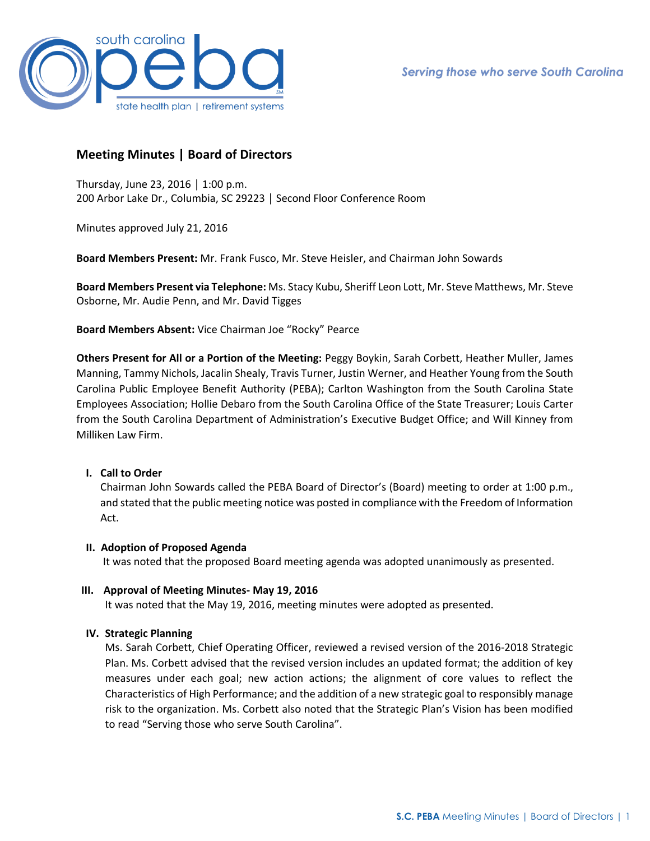

# **Meeting Minutes | Board of Directors**

Thursday, June 23, 2016 │ 1:00 p.m. 200 Arbor Lake Dr., Columbia, SC 29223 │ Second Floor Conference Room

Minutes approved July 21, 2016

**Board Members Present:** Mr. Frank Fusco, Mr. Steve Heisler, and Chairman John Sowards

**Board Members Present via Telephone:** Ms. Stacy Kubu, Sheriff Leon Lott, Mr. Steve Matthews, Mr. Steve Osborne, Mr. Audie Penn, and Mr. David Tigges

**Board Members Absent:** Vice Chairman Joe "Rocky" Pearce

**Others Present for All or a Portion of the Meeting:** Peggy Boykin, Sarah Corbett, Heather Muller, James Manning, Tammy Nichols, Jacalin Shealy, Travis Turner, Justin Werner, and Heather Young from the South Carolina Public Employee Benefit Authority (PEBA); Carlton Washington from the South Carolina State Employees Association; Hollie Debaro from the South Carolina Office of the State Treasurer; Louis Carter from the South Carolina Department of Administration's Executive Budget Office; and Will Kinney from Milliken Law Firm.

# **I. Call to Order**

Chairman John Sowards called the PEBA Board of Director's (Board) meeting to order at 1:00 p.m., and stated that the public meeting notice was posted in compliance with the Freedom of Information Act.

# **II. Adoption of Proposed Agenda**

It was noted that the proposed Board meeting agenda was adopted unanimously as presented.

# **III. Approval of Meeting Minutes- May 19, 2016**

It was noted that the May 19, 2016, meeting minutes were adopted as presented.

# **IV. Strategic Planning**

Ms. Sarah Corbett, Chief Operating Officer, reviewed a revised version of the 2016-2018 Strategic Plan. Ms. Corbett advised that the revised version includes an updated format; the addition of key measures under each goal; new action actions; the alignment of core values to reflect the Characteristics of High Performance; and the addition of a new strategic goal to responsibly manage risk to the organization. Ms. Corbett also noted that the Strategic Plan's Vision has been modified to read "Serving those who serve South Carolina".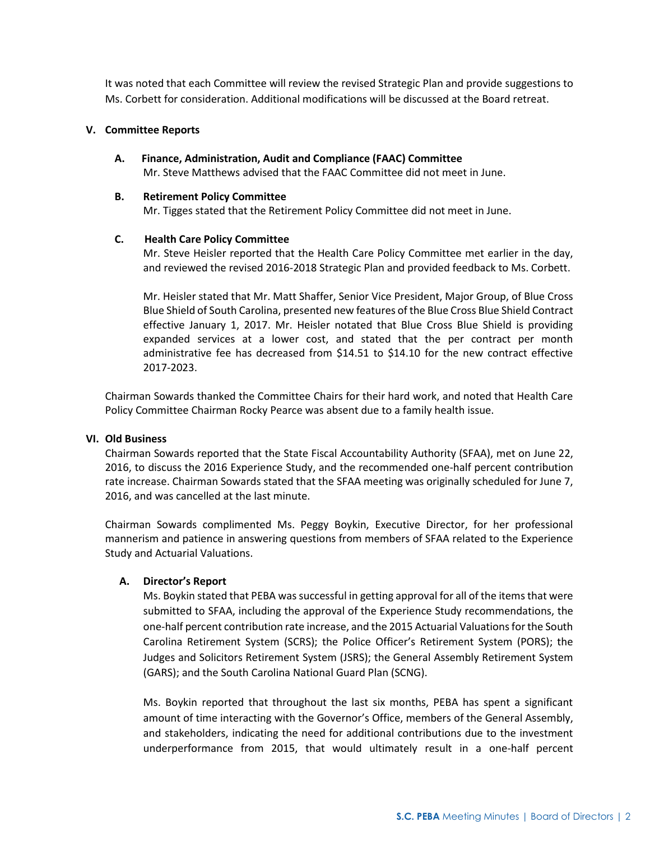It was noted that each Committee will review the revised Strategic Plan and provide suggestions to Ms. Corbett for consideration. Additional modifications will be discussed at the Board retreat.

### **V. Committee Reports**

**A. Finance, Administration, Audit and Compliance (FAAC) Committee** Mr. Steve Matthews advised that the FAAC Committee did not meet in June.

#### **B. Retirement Policy Committee**

Mr. Tigges stated that the Retirement Policy Committee did not meet in June.

# **C. Health Care Policy Committee**

Mr. Steve Heisler reported that the Health Care Policy Committee met earlier in the day, and reviewed the revised 2016-2018 Strategic Plan and provided feedback to Ms. Corbett.

Mr. Heisler stated that Mr. Matt Shaffer, Senior Vice President, Major Group, of Blue Cross Blue Shield of South Carolina, presented new features of the Blue Cross Blue Shield Contract effective January 1, 2017. Mr. Heisler notated that Blue Cross Blue Shield is providing expanded services at a lower cost, and stated that the per contract per month administrative fee has decreased from \$14.51 to \$14.10 for the new contract effective 2017-2023.

Chairman Sowards thanked the Committee Chairs for their hard work, and noted that Health Care Policy Committee Chairman Rocky Pearce was absent due to a family health issue.

# **VI. Old Business**

Chairman Sowards reported that the State Fiscal Accountability Authority (SFAA), met on June 22, 2016, to discuss the 2016 Experience Study, and the recommended one-half percent contribution rate increase. Chairman Sowards stated that the SFAA meeting was originally scheduled for June 7, 2016, and was cancelled at the last minute.

Chairman Sowards complimented Ms. Peggy Boykin, Executive Director, for her professional mannerism and patience in answering questions from members of SFAA related to the Experience Study and Actuarial Valuations.

# **A. Director's Report**

Ms. Boykin stated that PEBA was successful in getting approval for all of the items that were submitted to SFAA, including the approval of the Experience Study recommendations, the one-half percent contribution rate increase, and the 2015 Actuarial Valuations for the South Carolina Retirement System (SCRS); the Police Officer's Retirement System (PORS); the Judges and Solicitors Retirement System (JSRS); the General Assembly Retirement System (GARS); and the South Carolina National Guard Plan (SCNG).

Ms. Boykin reported that throughout the last six months, PEBA has spent a significant amount of time interacting with the Governor's Office, members of the General Assembly, and stakeholders, indicating the need for additional contributions due to the investment underperformance from 2015, that would ultimately result in a one-half percent